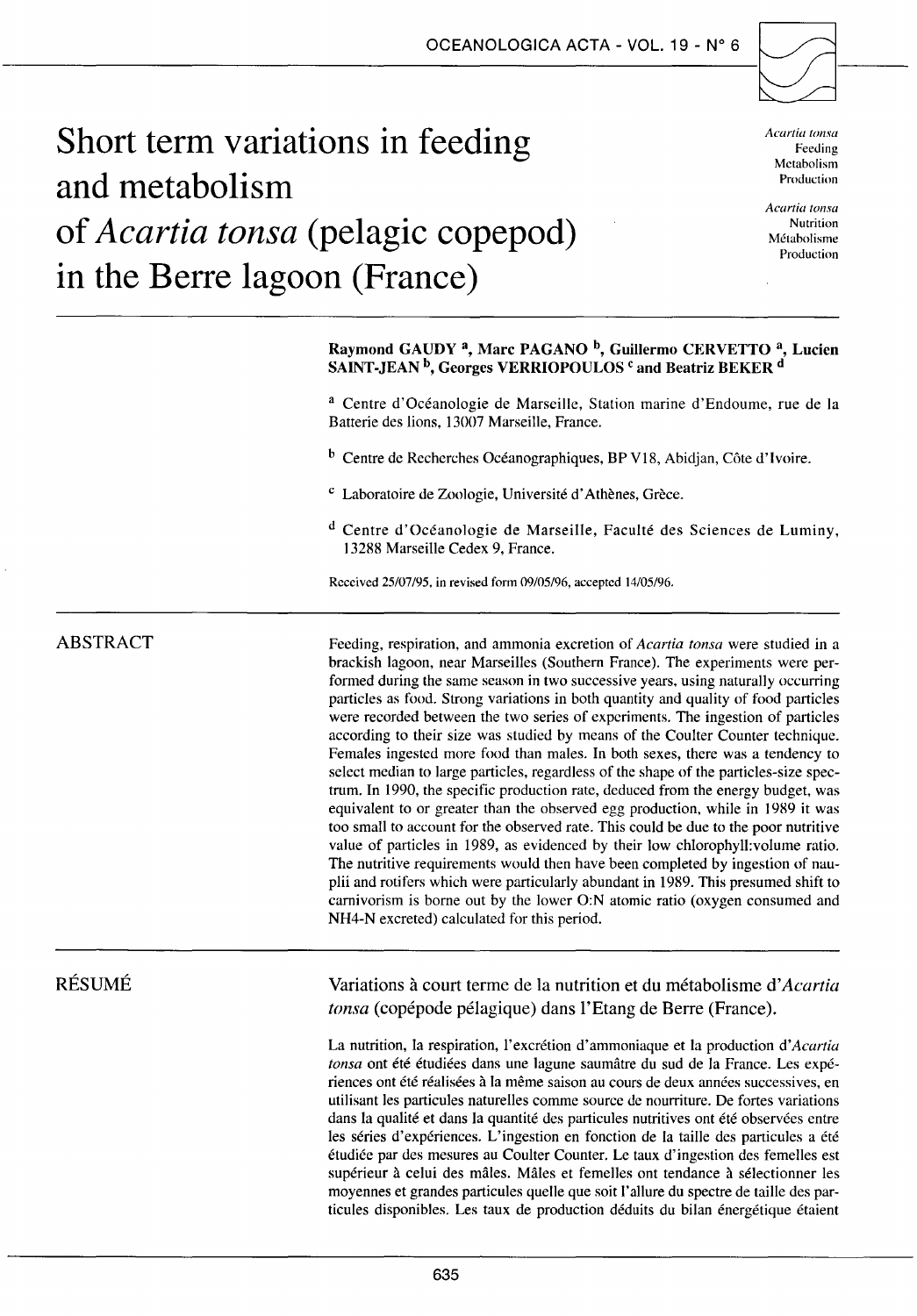

# **Short term variations in feeding and metabolism of** *Acartia tonsa* **(pelagie copepod) in the Berre lagoon (France)**

*Acartia tonsa*  Feeding Mctabolism Production

*Acartia tonsa*  Nutrition Métabolisme Production

# Raymond GAUDY<sup>a</sup>, Marc PAGANO<sup>b</sup>, Guillermo CERVETTO<sup>a</sup>, Lucien SAINT-JEAN<sup>b</sup>, Georges VERRIOPOULOS<sup>c</sup> and Beatriz BEKER<sup>d</sup>

a Centre d'Océanologie de Marseille, Station marine d'Endoume, rue de la Batterie des lions, 13007 Marseille, France.

b Centre de Recherches Océanographiques, BP V18, Abidjan, Côte d'Ivoire.

- c Laboratoire de Zoologie, Université d'Athènes, Grèce.
- d Centre d'Océanologie de Marseille, Faculté des Sciences de Luminy, 13288 Marseille Cedex 9, France.

Rcccived 25/07/95, in revised forrn 09/05/96, acceptcd 14/05/96.

# ABSTRACT

Feeding, respiration, and ammonia excretion of *Acartia tonsa* were studied in a brackish lagoon, near Marseilles (Southem France). The experiments were performed during the same season in two successive years, using naturally occurring particles as food. Strong variations in both quantity and quality of food particles were recorded between the two series of expcriments. The ingestion of particles according to their size was studicd by means of the Coulter Counter technique. Females ingested more food than males. In both sexes, there was a tendency to select median to large particles, regardless of the shape of the particles-size spectrum. In 1990, the specifie production rate, deduced from the energy budget, was equivalent to or greater than the observed egg production, while in 1989 it was too small to account for the observed rate. This could be due to the poor nutritive value of particles in 1989, as evidenced by their low chlorophyll:volume ratio. The nutritive requirements would then have been completed by ingestion of nauplii and rotifers which were particularly abundant in 1989. This presumed shift to camivorism is borne out by the lower O:N atomic ratio (oxygen consumed and NH4-N excreted) calculated for this period.

# RÉSUMÉ

Variations à court terme de la nutrition et du métabolisme *d'Acartia tonsa* (copépode pélagique) dans l'Etang de Berre (France).

La nutrition, la respiration, l'excrétion d'ammoniaque et la production *d'Acartia tonsa* ont été étudiées dans une lagune saumâtre du sud de la France. Les expériences ont été réalisées à la même saison au cours de deux années successives, en utilisant les particules naturelles comme source de nourriture. De fortes variations dans la qualité et dans la quantité des particules nutritives ont été observées entre les séries d'expériences. L'ingestion en fonction de la taille des particules a été étudiée par des mesures au Coulter Counter. Le taux d'ingestion des femelles est supérieur à celui des mâles. Mâles et femelles ont tendance à sélectionner les moyennes et grandes particules quelle que soit l'allure du spectre de taille des particules disponibles. Les taux de production déduits du bilan énergétique étaient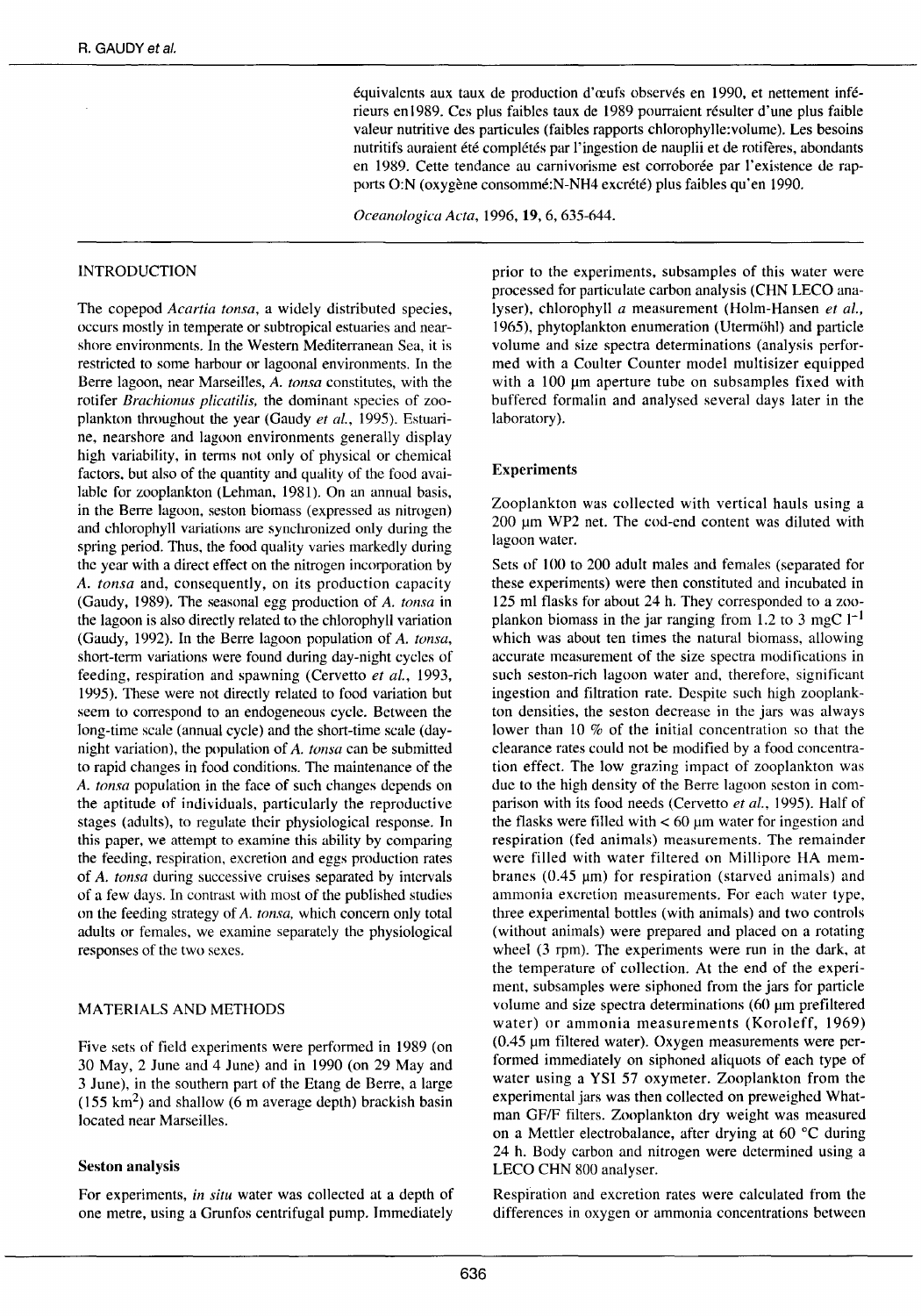équivalents aux taux de production d'œufs observés en 1990, et nettement inférieurs en 1989. Ces plus faibles taux de 1989 pourraient résulter d'une plus faible valeur nutritive des particules (faibles rapports chlorophylle:volume). Les besoins nutritifs auraient été complétés par l'ingestion de nauplii et de rotifères, abondants en 1989. Cette tendance au carnivorisme est corroborée par l'existence de rapports O:N (oxygène consommé:N-NH4 excrété) plus faibles qu'en 1990.

*Oceanologica Acta,* 1996, 19, 6, 635-644.

## INTRODUCTION

The copepod *Acartia tonsa,* a widely distributed species, occurs mostly in temperate or subtropical estuaries and nearshore environments. ln the Western Mediterranean Sea, it is restricted to sorne harbour or lagoonal environments. In the Berre lagoon, near Marseilles, *A. tonsa* constitutes, with the rotifer *Brachionus plicatilis,* the dominant species of zooplankton throughout the year (Gaudy *et al.,* 1995). Estuarine, nearshore and lagoon environments generally display high variability, in terms not only of physical or chemical factors, but also of the quantity and quality of the food available for zooplankton (Lehman, 1981). On an annual basis, in the Berre lagoon, seston biomass (expressed as nitrogen) and chlorophyll variations are synchronized on1y during the spring period. Thus, the food quality varies markedly during the ycar with a direct effect on the nitrogen incorporation by A. *tonsa* and, consequently, on its production capacity (Gaudy, 1989). The seasonal egg production of A. *tonsa* in the lagoon is also directly related to the chlorophyll variation (Gaudy, 1992). In the Berre lagoon population of *A. tonsa,*  short-term variations were found during day-night cycles of feeding, respiration and spawning (Cervetto *et al.,* 1993, 1995). These were not directly related to food variation but seem to correspond to an endogeneous cycle. Between the long-time scale (annual cycle) and the short-time scale (daynight variation), the population of *A. tonsa* can be submitted to rapid changes in food conditions. The maintenance of the *A. tonsa* population in the face of such changes depends on the aptitude of individuals, particularly the reproductive stages (adults), to regulate their physiological response. In this paper, we attempt to examine this ability by comparing the feeding, respiration, excretion and eggs production rates of *A. tonsa* during successive cruises separated by intervals of a few days. In contrast with most of the published studies on the feeding strategy of A. *tonsa,* which concem only total adults or females, we examine separately the physiological responses of the two sexes.

# MATERIALS AND METHODS

Five sets of field experiments were performed in 1989 (on 30 May, 2 June and 4 June) and in 1990 (on 29 May and 3 June), in the southern part of the Etang de Berre, a large ( $155 \text{ km}^2$ ) and shallow (6 m average depth) brackish basin located near Marseilles.

## Seston analysis

For experiments, *in situ* water was collected at a depth of one metre, using a Grunfos centrifugai pump. Immediately

prior to the experiments, subsamples of this water were processed for particulate carbon analysis (CHN LECO analyser), chlorophyll *a* measurement (Holm-Hansen *et al.,*  1965), phytoplankton enumeration (Utermühl) and particle volume and size spectra determinations (analysis performed with a Coulter Counter mode! multisizer equipped with a  $100 \mu m$  aperture tube on subsamples fixed with buffered formalin and analysed several days later in the laboratory).

#### Experiments

Zooplankton was collected with vertical hauls using a 200 um WP2 net. The cod-end content was diluted with lagoon water.

Sets of 100 to 200 adult males and females (separated for these experiments) were then constituted and incubated in 125 ml flasks for about 24 h. They corresponded to a zooplankon biomass in the jar ranging from 1.2 to 3 mgC  $1^{-1}$ which was about ten times the natural biomass, allowing accurate measurement of the size spectra modifications in such seston-rich lagoon water and, therefore, significant ingestion and filtration rate. Despite such high zooplankton densities, the seston decrease in the jars was always lower than 10  $%$  of the initial concentration so that the clearance rates could not be modified by a food concentration effect. The low grazing impact of zooplankton was due to the high density of the Berre lagoon seston in comparison with its food needs (Cervetto *et al.,* 1995). Half of the flasks were filled with  $< 60 \mu m$  water for ingestion and respiration (fed animais) measurements. The remainder were filled with water filtered on Millipore HA membranes  $(0.45 \mu m)$  for respiration (starved animals) and ammonia excretion measurements. For each water type, three experimental botties (with animais) and two controls (without animais) were prepared and placed on a rotating wheel (3 rpm). The experiments were run in the dark, at the temperature of collection. At the end of the experiment, subsamples were siphoned from the jars for particle volume and size spectra determinations (60  $\mu$ m prefiltered water) or ammonia measurements (Koroleff, 1969)  $(0.45 \mu m)$  filtered water). Oxygen measurements were performed immediately on siphoned aliquots of each type of water using a YSI 57 oxymeter. Zooplankton from the experimental jars was then collected on preweighed Whatman GF/F filters. Zooplankton dry weight was measured on a Mettler electrobalance, after drying at 60  $^{\circ}$ C during 24 h. Body carbon and nitrogen were determined using a LECO CHN 800 analyser.

Respiration and excretion rates were calculated from the differences in oxygen or ammonia concentrations between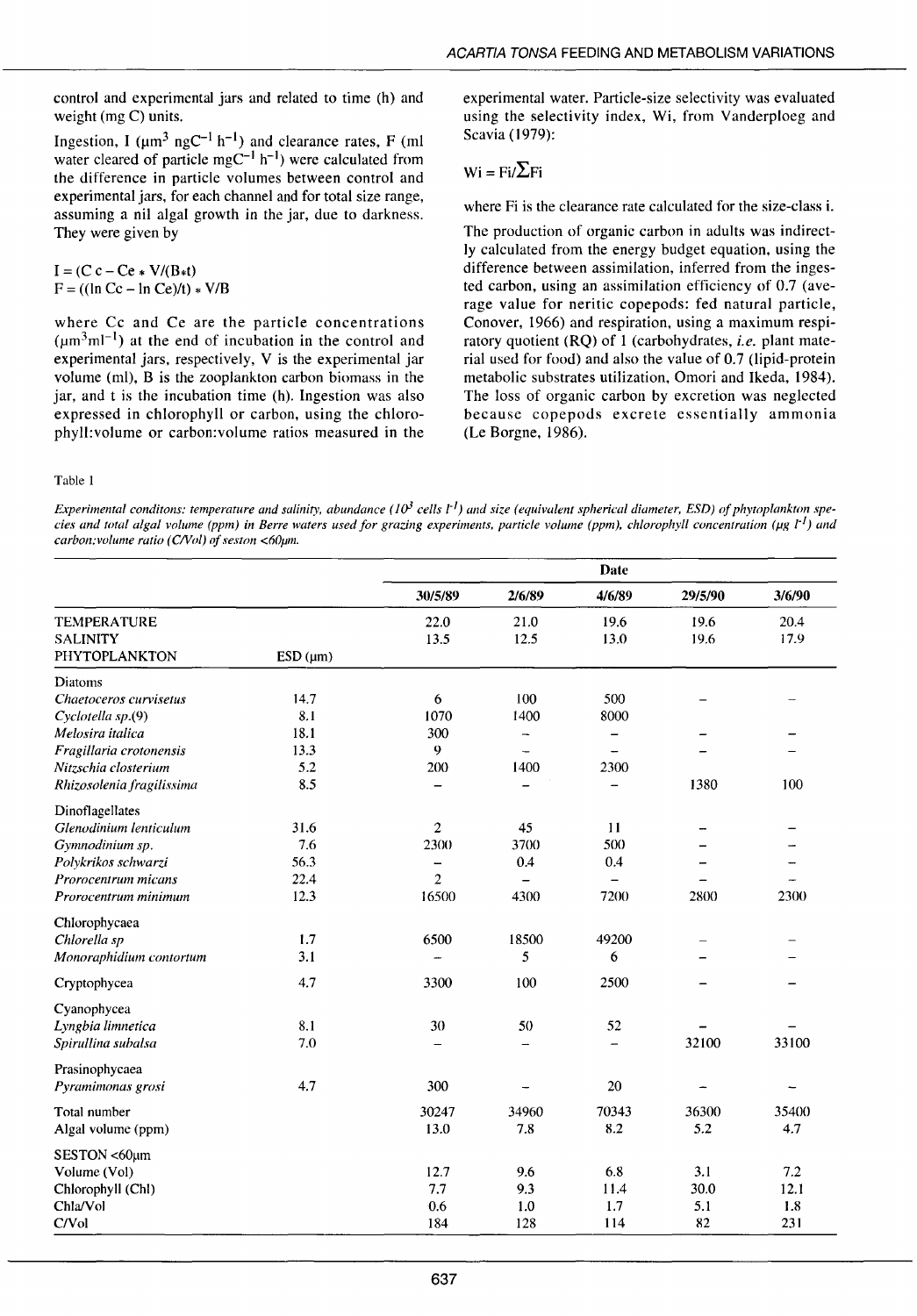control and experimental jars and related to time (h) and weight (mg C) units.

Ingestion, I ( $\mu$ m<sup>3</sup> ngC<sup>-1</sup> h<sup>-1</sup>) and clearance rates, F (ml water cleared of particle mgC<sup>-1</sup> h<sup>-1</sup>) were calculated from the difference in particle volumes between control and experimental jars, for each channel and for total size range, assuming a nil algal growth in the jar, due to darkness. They were given by

 $I = (C c - Ce * V/(B*t))$  $F = ((\ln Cc - \ln Ce)/t) * V/B$ 

where Cc and Ce are the particle concentrations  $(\mu m^3 m^{1-1})$  at the end of incubation in the control and experimental jars, respectively, V is the experimental jar volume (ml), B is the zooplankton carbon biomass in the jar, and t is the incubation time (h). Ingestion was also expressed in chlorophyll or carbon, using the chlorophyll:volume or carbon:volume ratios measured in the experimental water. Particle-size selectivity was evaluated using the selectivity index, Wi, from Vanderploeg and Scavia ( 1979):

# $Wi = Fi / \sum Fi$

where Fi is the clearance rate calculated for the size-class i.

The production of organic carbon in adults was indirectly calculated from the energy budget equation, using the difference between assimilation, inferred from the ingested carbon, using an assimilation efficiency of 0.7 (average value for neritic copepods: fed natural particle, Conover, 1966) and respiration, using a maximum respiratory quotient (RQ) of 1 (carbohydrates, *i.e.* plant material used for food) and also the value of 0.7 (lipid-protein metabolic substrates utilization, Omori and Ikeda, 1984). The loss of organic carbon by excretion was neglected because copepods excrete essentially ammonia (Le Borgne, 1986).

Table 1

*Experimental conditons: temperature and salinity, abundance*  $(10^3$  *cells*  $t<sup>1</sup>$ *) and size (equivalent spherical diameter, ESD) of phytoplankton species and total algal volume (ppm) in Berre waters used for grazing experiments, particle volume (ppm), chlorophyll concentration (µg l<sup>-1</sup>) and* carbon: volume ratio (C/Vol) of seston <60µm.

|                           |              | <b>Date</b>    |                          |                          |         |                          |  |
|---------------------------|--------------|----------------|--------------------------|--------------------------|---------|--------------------------|--|
|                           |              | 30/5/89        | 2/6/89                   | 4/6/89                   | 29/5/90 | 3/6/90                   |  |
| <b>TEMPERATURE</b>        |              | 22.0           | 21.0                     | 19.6                     | 19.6    | 20.4                     |  |
| <b>SALINITY</b>           |              | 13.5           | 12.5                     | 13.0                     | 19.6    | 17.9                     |  |
| PHYTOPLANKTON             | $ESD(\mu m)$ |                |                          |                          |         |                          |  |
| Diatoms                   |              |                |                          |                          |         |                          |  |
| Chaetoceros curvisetus    | 14.7         | 6              | 100                      | 500                      |         | –                        |  |
| Cyclotella sp.(9)         | 8.1          | 1070           | 1400                     | 8000                     |         |                          |  |
| Melosira italica          | 18.1         | 300            | $\overline{\phantom{0}}$ | $\overline{\phantom{m}}$ |         |                          |  |
| Fragillaria crotonensis   | 13.3         | 9              | $\overline{\phantom{0}}$ |                          |         |                          |  |
| Nitzschia closterium      | 5.2          | 200            | 1400                     | 2300                     |         |                          |  |
| Rhizosolenia fragilissima | 8.5          |                |                          | $\overline{\phantom{0}}$ | 1380    | 100                      |  |
| Dinoflagellates           |              |                |                          |                          |         |                          |  |
| Glenodinium lenticulum    | 31.6         | $\overline{2}$ | 45                       | 11                       |         |                          |  |
| Gymnodinium sp.           | 7.6          | 2300           | 3700                     | 500                      |         |                          |  |
| Polykrikos schwarzi       | 56.3         |                | 0.4                      | 0.4                      |         |                          |  |
| Prorocentrum micans       | 22.4         | $\overline{2}$ | $\equiv$                 | $\overline{\phantom{0}}$ |         |                          |  |
| Prorocentrum minimum      | 12.3         | 16500          | 4300                     | 7200                     | 2800    | 2300                     |  |
| Chlorophycaea             |              |                |                          |                          |         |                          |  |
| Chlorella sp              | 1.7          | 6500           | 18500                    | 49200                    |         | $\overline{\phantom{0}}$ |  |
| Monoraphidium contortum   | 3.1          |                | 5                        | 6                        |         |                          |  |
| Cryptophycea              | 4.7          | 3300           | 100                      | 2500                     |         |                          |  |
| Cyanophycea               |              |                |                          |                          |         |                          |  |
| Lyngbia limnetica         | 8.1          | 30             | 50                       | 52                       |         |                          |  |
| Spirullina subalsa        | 7.0          |                | $\overline{\phantom{0}}$ | $\qquad \qquad -$        | 32100   | 33100                    |  |
| Prasinophycaea            |              |                |                          |                          |         |                          |  |
| Pyramimonas grosi         | 4.7          | 300            |                          | 20                       |         |                          |  |
| Total number              |              | 30247          | 34960                    | 70343                    | 36300   | 35400                    |  |
| Algal volume (ppm)        |              | 13.0           | 7.8                      | 8.2                      | 5.2     | 4.7                      |  |
| SESTON <60um              |              |                |                          |                          |         |                          |  |
| Volume (Vol)              |              | 12.7           | 9.6                      | 6.8                      | 3.1     | 7.2                      |  |
| Chlorophyll (Chl)         |              | 7.7            | 9.3                      | 11.4                     | 30.0    | 12.1                     |  |
| Chla/Vol                  |              | 0.6            | 1.0                      | 1.7                      | 5.1     | 1.8                      |  |
| C/Vol                     |              | 184            | 128                      | 114                      | 82      | 231                      |  |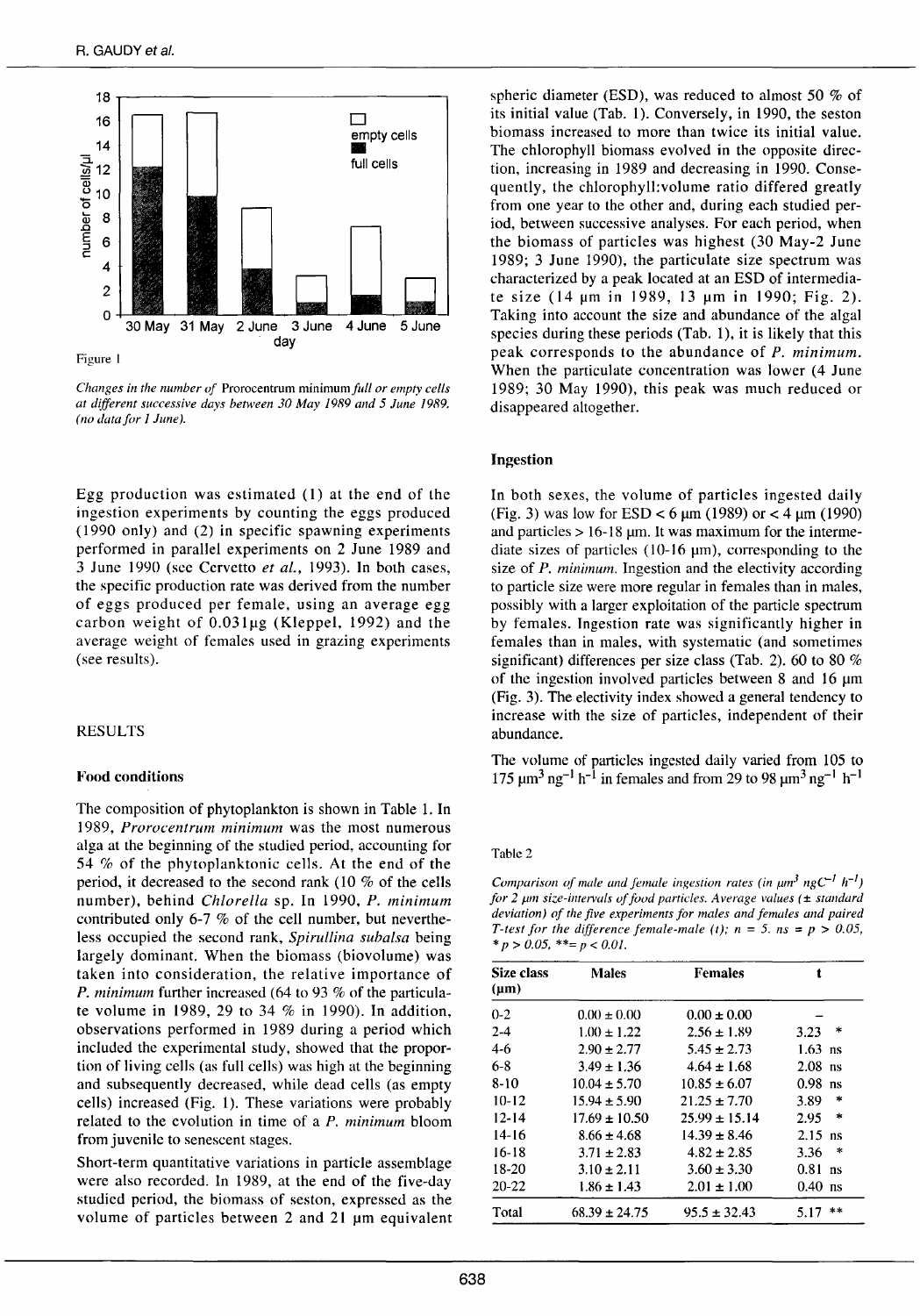

*Changes in the number of* Prorocentrum minimum *full or empty cells at different successive days between 30 May 1989 and 5 June 1989. (no data for 1 June).* 

Egg production was estimated  $(1)$  at the end of the ingestion experiments by counting the eggs produced ( 1990 only) and (2) in specifie spawning experiments performed in parallel experiments on 2 June 1989 and 3 June 1990 (sec Ccrvetto *et al.,* 1993). In both cases, the specifie production rate was derived from the number of eggs produced per female, using an average egg carbon weight of  $0.031\mu$ g (Kleppel, 1992) and the average weight of females used in grazing experiments (sec results).

## RESULTS

#### Food conditions

The composition of phytoplankton is shown in Table 1. In 1989, *Prorocentrum minimum* was the most numerous alga at the beginning of the studied period, accounting for 54 % of the phytoplanktonic cells. At the end of the period, it decreased to the second rank ( $10\%$  of the cells number), behind *Chlore/la* sp. In 1990, *P. minimum*  contributed only 6-7 % of the cell number, but nevertheless occupied the second rank, *Spirullina suhalsa* being largely dominant. When the biomass (biovolume) was taken into consideration, the relative importance of *P. minimum* further increased (64 to 93 % of the particulate volume in 1989, 29 to 34 % in 1990). In addition, observations performed in 1989 during a period which included the experimental study, showed that the proportion of living ce11s (as fu11 ce11s) was high at the beginning and subsequently decreased, while dead cells (as empty cells) increased (Fig. 1). These variations were probably related to the evolution in time of a *P. minimum* bloom from juvenile to senescent stages.

Short-term quantitative variations in particle assemblage were also recorded. ln 1989, at the end of the five-day studied period, the biomass of seston, expressed as the volume of particles between  $2$  and  $21 \mu m$  equivalent

spheric diameter (ESD), was reduced to almost 50 % of its initial value (Tab. 1). Conversely, in 1990, the seston biomass increased to more than twice its initial value. The chlorophy11 biomass evolved in the opposite direction, increasing in 1989 and decreasing in 1990. Consequently, the chlorophyll:volume ratio differed greatly from one year to the other and, during each studied period, between successive analyses. For each period, when the biomass of particles was highest (30 May-2 June 1989; 3 June 1990), the particulate size spectrum was characterized by a peak located at an ESD of intermediate size  $(14 \mu m)$  in 1989, 13  $\mu$ m in 1990; Fig. 2). Taking into account the size and abundance of the algal species during these periods (Tab. 1), it is likely that this peak corresponds to the abundance of *P. minimum.*  When the particulate concentration was lower (4 June 1989; 30 May 1990), this peak was much reduced or disappeared altogether.

#### Ingestion

In both sexes, the volume of particles ingested daily (Fig. 3) was low for  $ESD < 6 \mu m$  (1989) or  $< 4 \mu m$  (1990) and particles  $> 16-18$  µm. It was maximum for the intermediate sizes of particles  $(10-16 \text{ }\mu\text{m})$ , corresponding to the size of *P. minimum.* Ingestion and the electivity according to particle size were more regular in females than in males, possibly with a larger exploitation of the particle spectrum by females. Ingestion rate was significantly higher in females than in males, with systematic (and sometimes significant) differences per size class (Tab. 2). 60 to 80 % of the ingestion involved particles between  $8$  and  $16 \mu m$ (Fig. 3). The electivity index showed a general tendency to increase with the size of particles, independent of their abundance.

The volume of particles ingested daily varied from 105 to 175  $\mu$ m<sup>3</sup> ng<sup>-1</sup> h<sup>-1</sup> in females and from 29 to 98  $\mu$ m<sup>3</sup> ng<sup>-1</sup> h<sup>-1</sup>

#### Table 2

*Comparison of male and female ingestion rates (in*  $\mu$ *m*<sup>3</sup> *ngC*<sup>-1</sup> *h*<sup>-1</sup>) *for 2 pm size-intervals of food particles. Average values (* ± *standard deviation) of the five experiments for males and females and paired T*-test for the difference female-male (t);  $n = 5$ .  $ns = p > 0.05$ ,  $* p > 0.05$ ,  $**= p < 0.01$ .

| Size class<br>$(\mu m)$ | <b>Males</b>      | <b>Females</b>    | t              |
|-------------------------|-------------------|-------------------|----------------|
| $0 - 2$                 | $0.00 \pm 0.00$   | $0.00 \pm 0.00$   |                |
| $2 - 4$                 | $1.00 \pm 1.22$   | $2.56 \pm 1.89$   | *<br>3.23      |
| $4-6$                   | $2.90 \pm 2.77$   | $5.45 \pm 2.73$   | $1.63$ ns      |
| $6-8$                   | $3.49 \pm 1.36$   | $4.64 \pm 1.68$   | $2.08$ ns      |
| $8-10$                  | $10.04 \pm 5.70$  | $10.85 \pm 6.07$  | $0.98$ ns      |
| $10-12$                 | $15.94 \pm 5.90$  | $21.25 \pm 7.70$  | 3.89<br>*      |
| $12 - 14$               | $17.69 \pm 10.50$ | $25.99 \pm 15.14$ | 2.95<br>$\ast$ |
| 14-16                   | $8.66 \pm 4.68$   | $14.39 \pm 8.46$  | $2.15$ ns      |
| $16-18$                 | $3.71 \pm 2.83$   | $4.82 \pm 2.85$   | $\ast$<br>3.36 |
| 18-20                   | $3.10 \pm 2.11$   | $3.60 \pm 3.30$   | $0.81$ ns      |
| $20 - 22$               | $1.86 \pm 1.43$   | $2.01 \pm 1.00$   | $0.40$ ns      |
| Total                   | $68.39 \pm 24.75$ | $95.5 \pm 32.43$  | $* *$<br>5.17  |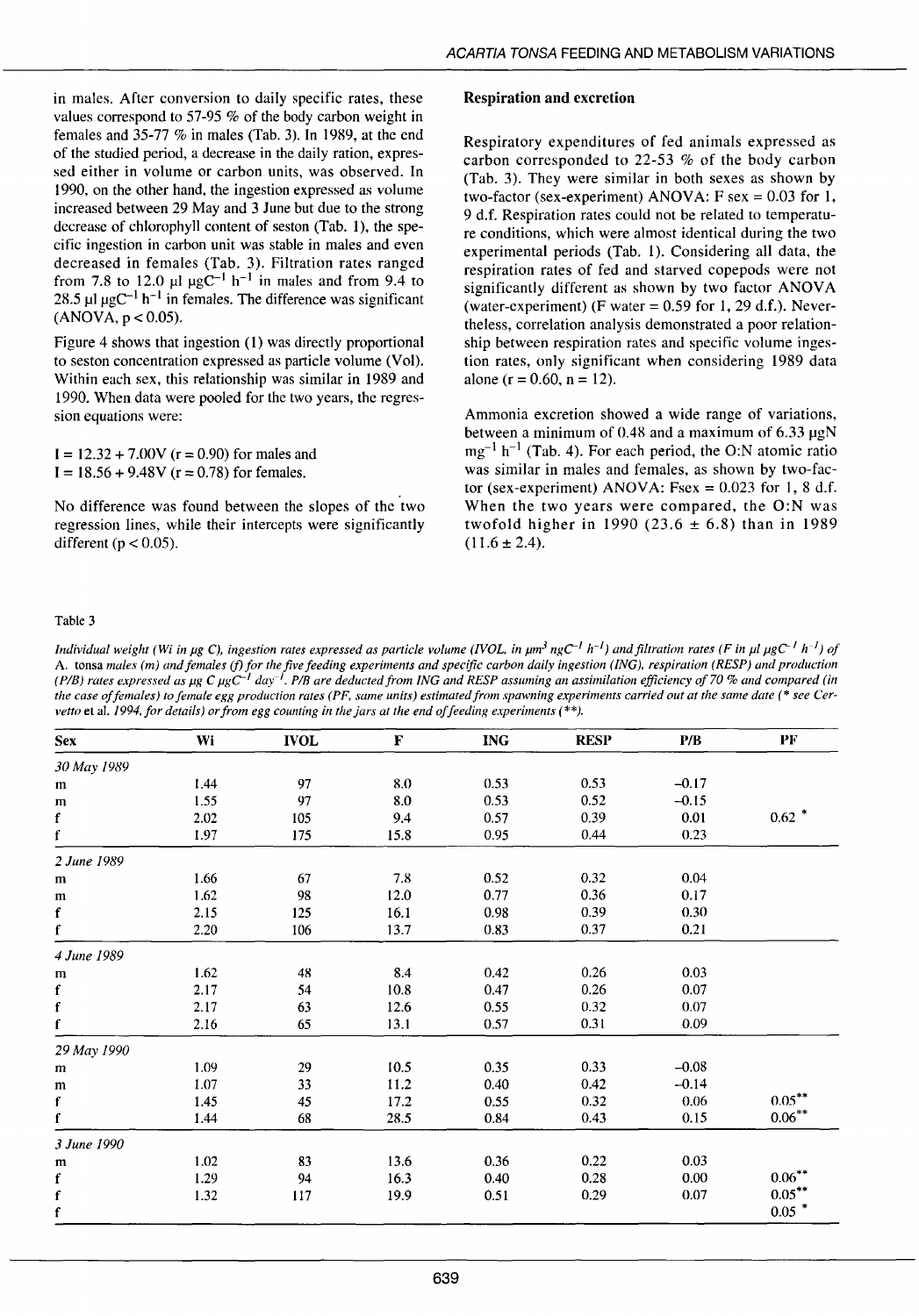in males. After conversion to daily specifie rates, these values correspond to 57-95  $%$  of the body carbon weight in females and 35-77 % in males (Tab. 3). In 1989, at the end of the studied period, a decrease in the daily ration, expressed either in volume or carbon units, was observed. In 1990, on the other hand, the ingestion expressed as volume increased between 29 May and 3 June but due to the strong decrease of chlorophyll content of seston (Tab. 1), the specifie ingestion in carbon unit was stable in males and even decreased in females (Tab. 3). Filtration rates ranged from 7.8 to 12.0  $\mu$ l  $\mu$ gC<sup>-1</sup> h<sup>-1</sup> in males and from 9.4 to 28.5  $\mu$ l  $\mu$ gC<sup>-1</sup> h<sup>-1</sup> in females. The difference was significant  $(ANOVA, p < 0.05)$ .

Figure 4 shows that ingestion (1) was directly proportional to seston concentration expressed as particle volume (Vol). Within each sex, this relationship was similar in 1989 and 1990. When data were pooled for the two years, the regression equations were:

 $1 = 12.32 + 7.00V$  (r = 0.90) for males and  $I = 18.56 + 9.48V$  ( $r = 0.78$ ) for females.

No difference was found between the slopes of the two regression lines, while their intercepts were significantly different ( $p < 0.05$ ).

# Respiration and excretion

Respiratory expenditures of fed animais expressed as carbon corresponded to 22-53 % of the body carbon (Tab. 3). They were similar in both sexes as shown by two-factor (sex-experiment) ANOVA:  $F$  sex = 0.03 for 1, 9 d.f. Respiration rates could not be related to temperature conditions, which were almost identical during the two experimental periods (Tab. 1). Considering ali data, the respiration rates of fed and starved copepods were not significantly different as shown by two factor ANOVA (water-experiment) (F water =  $0.59$  for 1, 29 d.f.). Nevertheless, correlation analysis demonstrated a poor relationship between respiration rates and specifie volume ingestion rates, only significant when considering 1989 data alone ( $r = 0.60$ ,  $n = 12$ ).

Ammonia excretion showed a wide range of variations, between a minimum of 0.48 and a maximum of  $6.33 \mu gN$  $mg^{-1} h^{-1}$  (Tab. 4). For each period, the O:N atomic ratio was similar in males and females, as shown by two-factor (sex-experiment) ANOVA: Fsex =  $0.023$  for 1, 8 d.f. When the two years were compared, the O:N was twofold higher in 1990 (23.6  $\pm$  6.8) than in 1989  $(11.6 \pm 2.4)$ .

#### Table 3

*Individual weight (Wi in µg C), ingestion rates expressed as particle volume (IVOL, in*  $\mu m^3 n g C^{-1} h^{-1}$ *) and filtration rates (F in*  $\mu l g C^{-1} h^{-1}$ *) of* A. tonsa males (m) and females (f) for the five feeding experiments and specific carbon daily ingestion (ING), respiration (RESP) and production *(P/B) rates expressed as µg C µgC<sup>-1</sup> day<sup>-1</sup>. <i>P*/B are deducted from ING and RESP assuming an assimilation efficiency of 70 % and compared (in *the case of females) to female egg production rates ( PF, same units) estimated from spawning experiments carried out at the same date (* \* *see Cervetto* et al. 1994, for details) or from egg counting in the jars at the end of feeding experiments (\*\*).

| <b>Sex</b>  | Wi   | <b>IVOL</b> | F    | <b>ING</b> | <b>RESP</b> | P/B     | PF        |
|-------------|------|-------------|------|------------|-------------|---------|-----------|
| 30 May 1989 |      |             |      |            |             |         |           |
| m           | 1.44 | 97          | 8.0  | 0.53       | 0.53        | $-0.17$ |           |
| ${\bf m}$   | 1.55 | 97          | 8.0  | 0.53       | 0.52        | $-0.15$ |           |
| $\mathbf f$ | 2.02 | 105         | 9.4  | 0.57       | 0.39        | 0.01    | $0.62$ *  |
| $\mathbf f$ | 1.97 | 175         | 15.8 | 0.95       | 0.44        | 0.23    |           |
| 2 June 1989 |      |             |      |            |             |         |           |
| m           | 1.66 | 67          | 7.8  | 0.52       | 0.32        | 0.04    |           |
| m           | 1.62 | 98          | 12.0 | 0.77       | 0.36        | 0.17    |           |
| $\mathbf f$ | 2.15 | 125         | 16.1 | 0.98       | 0.39        | 0.30    |           |
| $\mathbf f$ | 2.20 | 106         | 13.7 | 0.83       | 0.37        | 0.21    |           |
| 4 June 1989 |      |             |      |            |             |         |           |
| m           | 1.62 | 48          | 8.4  | 0.42       | 0.26        | 0.03    |           |
| $\mathbf f$ | 2.17 | 54          | 10.8 | 0.47       | 0.26        | 0.07    |           |
| $\mathbf f$ | 2.17 | 63          | 12.6 | 0.55       | 0.32        | 0.07    |           |
| $\mathbf f$ | 2.16 | 65          | 13.1 | 0.57       | 0.31        | 0.09    |           |
| 29 May 1990 |      |             |      |            |             |         |           |
| m           | 1.09 | 29          | 10.5 | 0.35       | 0.33        | $-0.08$ |           |
| m           | 1.07 | 33          | 11.2 | 0.40       | 0.42        | $-0.14$ |           |
| $\mathbf f$ | 1.45 | 45          | 17.2 | 0.55       | 0.32        | 0.06    | $0.05***$ |
| f           | 1.44 | 68          | 28.5 | 0.84       | 0.43        | 0.15    | $0.06***$ |
| 3 June 1990 |      |             |      |            |             |         |           |
| m           | 1.02 | 83          | 13.6 | 0.36       | 0.22        | 0.03    |           |
| $\mathbf f$ | 1.29 | 94          | 16.3 | 0.40       | 0.28        | 0.00    | $0.06***$ |
| $\mathbf f$ | 1.32 | 117         | 19.9 | 0.51       | 0.29        | 0.07    | $0.05***$ |
| $\mathbf f$ |      |             |      |            |             |         | $0.05$ *  |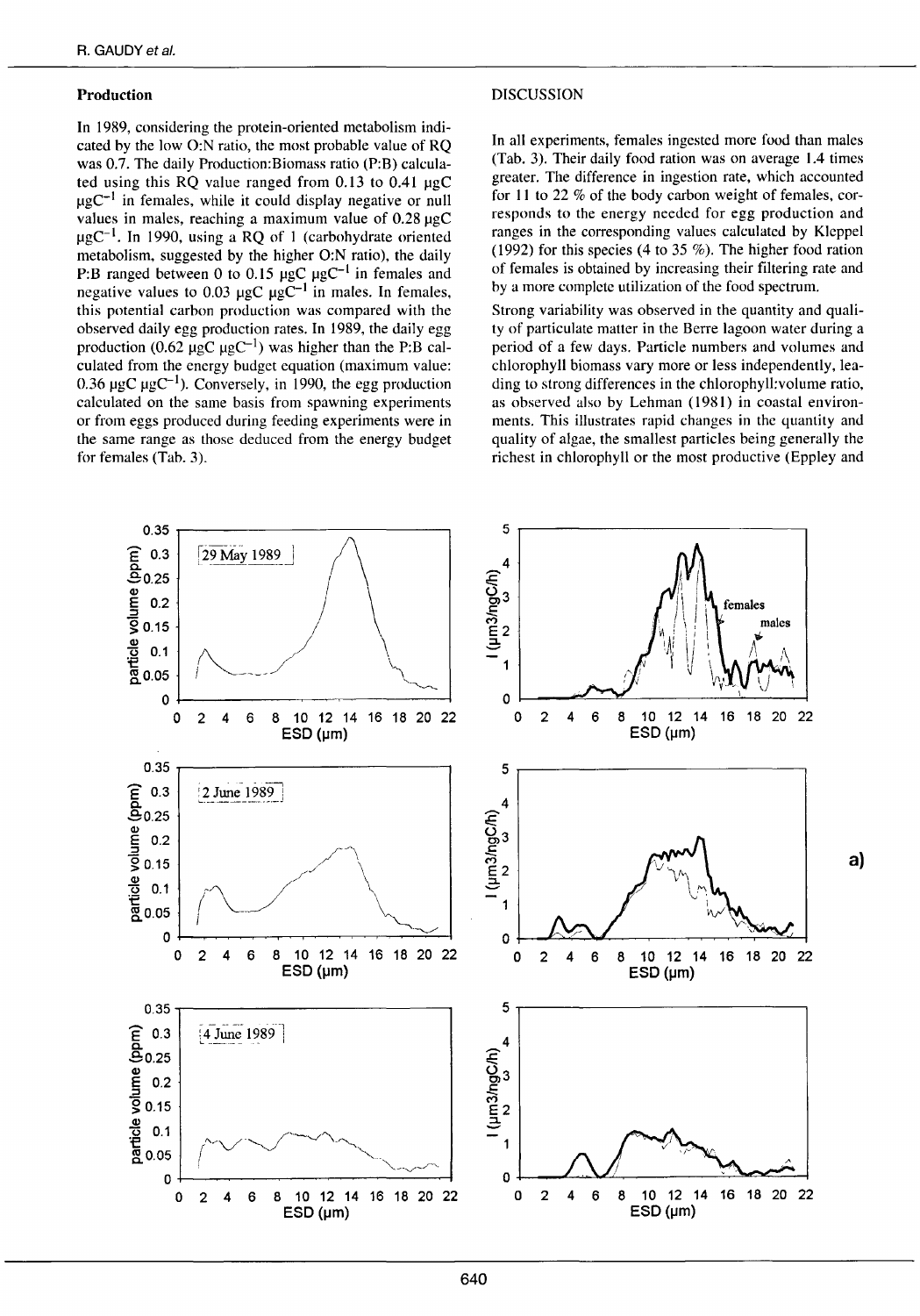# **Production**

In 1989, considering the protein-oriented metabolism indicated by the low O:N ratio, the most probable value of RQ was 0.7. The daily Production: Biomass ratio (P:B) calculated using this RQ value ranged from 0.13 to 0.41 µgC  $\mu$ gC<sup>-1</sup> in females, while it could display negative or null values in males, reaching a maximum value of 0.28 µgC  $\mu$ gC<sup>-1</sup>. In 1990, using a RQ of 1 (carbohydrate oriented metabolism, suggested by the higher O:N ratio), the daily P:B ranged between 0 to 0.15  $\mu$ gC  $\mu$ gC<sup>-1</sup> in females and<br>negative values to 0.03  $\mu$ gC  $\mu$ gC<sup>-1</sup> in males. In females, this potential carbon production was compared with the observed daily egg production rates. In 1989, the daily egg production (0.62  $\mu$ gC  $\mu$ gC<sup>-1</sup>) was higher than the P:B calculated from the energy budget equation (maximum value: 0.36  $\mu$ gC  $\mu$ gC<sup>-1</sup>). Conversely, in 1990, the egg production calculated on the same basis from spawning experiments or from eggs produced during feeding experiments were in the same range as those deduced from the energy budget for females (Tab. 3).

#### **DISCUSSION**

In all experiments, females ingested more food than males (Tab. 3). Their daily food ration was on average 1.4 times greater. The difference in ingestion rate, which accounted for 11 to 22 % of the body carbon weight of females, corresponds to the energy needed for egg production and ranges in the corresponding values calculated by Kleppel (1992) for this species (4 to 35 %). The higher food ration of females is obtained by increasing their filtering rate and by a more complete utilization of the food spectrum.

Strong variability was observed in the quantity and quality of particulate matter in the Berre lagoon water during a period of a few days. Particle numbers and volumes and chlorophyll biomass vary more or less independently, leading to strong differences in the chlorophyll; volume ratio, as observed also by Lehman (1981) in coastal environments. This illustrates rapid changes in the quantity and quality of algae, the smallest particles being generally the richest in chlorophyll or the most productive (Eppley and

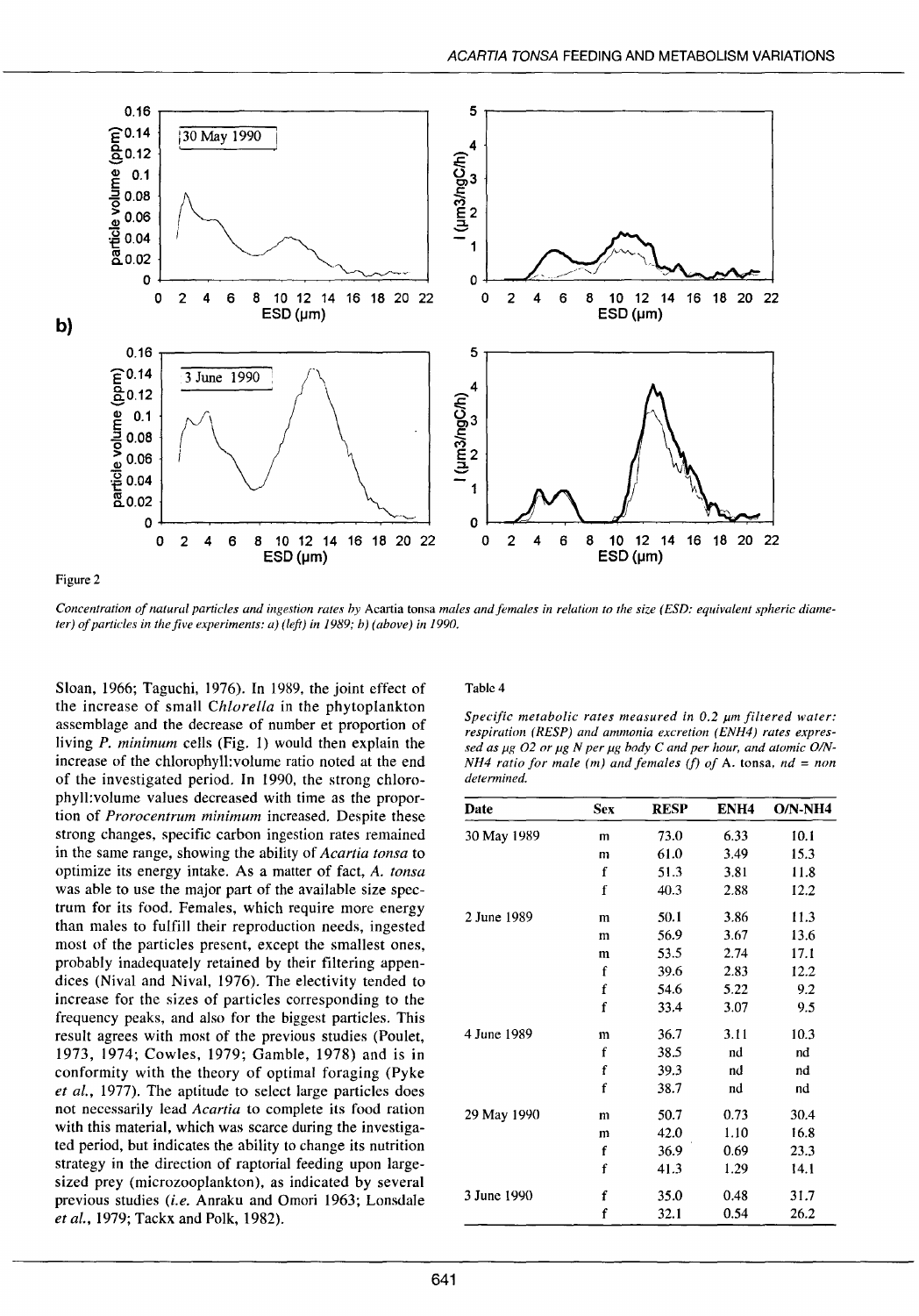

Concentration of natural particles and ingestion rates by Acartia tonsa males and females in relation to the size (ESD: equivalent spheric diameter) of particles in the five experiments:  $a$ ) (left) in 1989; b) (above) in 1990.

Sloan, 1966; Taguchi, 1976). In 1989, the joint effect of the increase of small Chlorella in the phytoplankton assemblage and the decrease of number et proportion of living P. minimum cells (Fig. 1) would then explain the increase of the chlorophyll: volume ratio noted at the end of the investigated period. In 1990, the strong chlorophyll: volume values decreased with time as the proportion of Prorocentrum minimum increased. Despite these strong changes, specific carbon ingestion rates remained in the same range, showing the ability of Acartia tonsa to optimize its energy intake. As a matter of fact, A. tonsa was able to use the major part of the available size spectrum for its food. Females, which require more energy than males to fulfill their reproduction needs, ingested most of the particles present, except the smallest ones, probably inadequately retained by their filtering appendices (Nival and Nival, 1976). The electivity tended to increase for the sizes of particles corresponding to the frequency peaks, and also for the biggest particles. This result agrees with most of the previous studies (Poulet, 1973, 1974; Cowles, 1979; Gamble, 1978) and is in conformity with the theory of optimal foraging (Pyke) et al., 1977). The aptitude to select large particles does not necessarily lead Acartia to complete its food ration with this material, which was scarce during the investigated period, but indicates the ability to change its nutrition strategy in the direction of raptorial feeding upon largesized prey (microzooplankton), as indicated by several previous studies (i.e. Anraku and Omori 1963; Lonsdale et al., 1979; Tackx and Polk, 1982).

#### Table 4

Specific metabolic rates measured in 0.2 µm filtered water: respiration (RESP) and ammonia excretion (ENH4) rates expressed as µg O2 or µg N per µg body C and per hour, and atomic O/N-NH4 ratio for male (m) and females (f) of A. tonsa,  $nd = non$ determined.

| Date        | <b>Sex</b>  | <b>RESP</b> | ENH <sub>4</sub> | $ON-NH4$ |
|-------------|-------------|-------------|------------------|----------|
| 30 May 1989 | m           | 73.0        | 6.33             | 10.1     |
|             | m           | 61.0        | 3.49             | 15.3     |
|             | f           | 51.3        | 3.81             | 11.8     |
|             | f           | 40.3        | 2.88             | 12.2     |
| 2 June 1989 | m           | 50.1        | 3.86             | 11.3     |
|             | m           | 56.9        | 3.67             | 13.6     |
|             | m           | 53.5        | 2.74             | 17.1     |
|             | $\mathbf f$ | 39.6        | 2.83             | 12.2     |
|             | f           | 54.6        | 5.22             | 9.2      |
|             | f           | 33.4        | 3.07             | 9.5      |
| 4 June 1989 | m           | 36.7        | 3.11             | 10.3     |
|             | f           | 38.5        | nd               | nd       |
|             | f           | 39.3        | nd               | nd       |
|             | f           | 38.7        | nd               | nd       |
| 29 May 1990 | m           | 50.7        | 0.73             | 30.4     |
|             | m           | 42.0        | 1.10             | 16.8     |
|             | f           | 36.9        | 0.69             | 23.3     |
|             | f           | 41.3        | 1.29             | 14.1     |
| 3 June 1990 | f           | 35.0        | 0.48             | 31.7     |
|             | f           | 32.1        | 0.54             | 26.2     |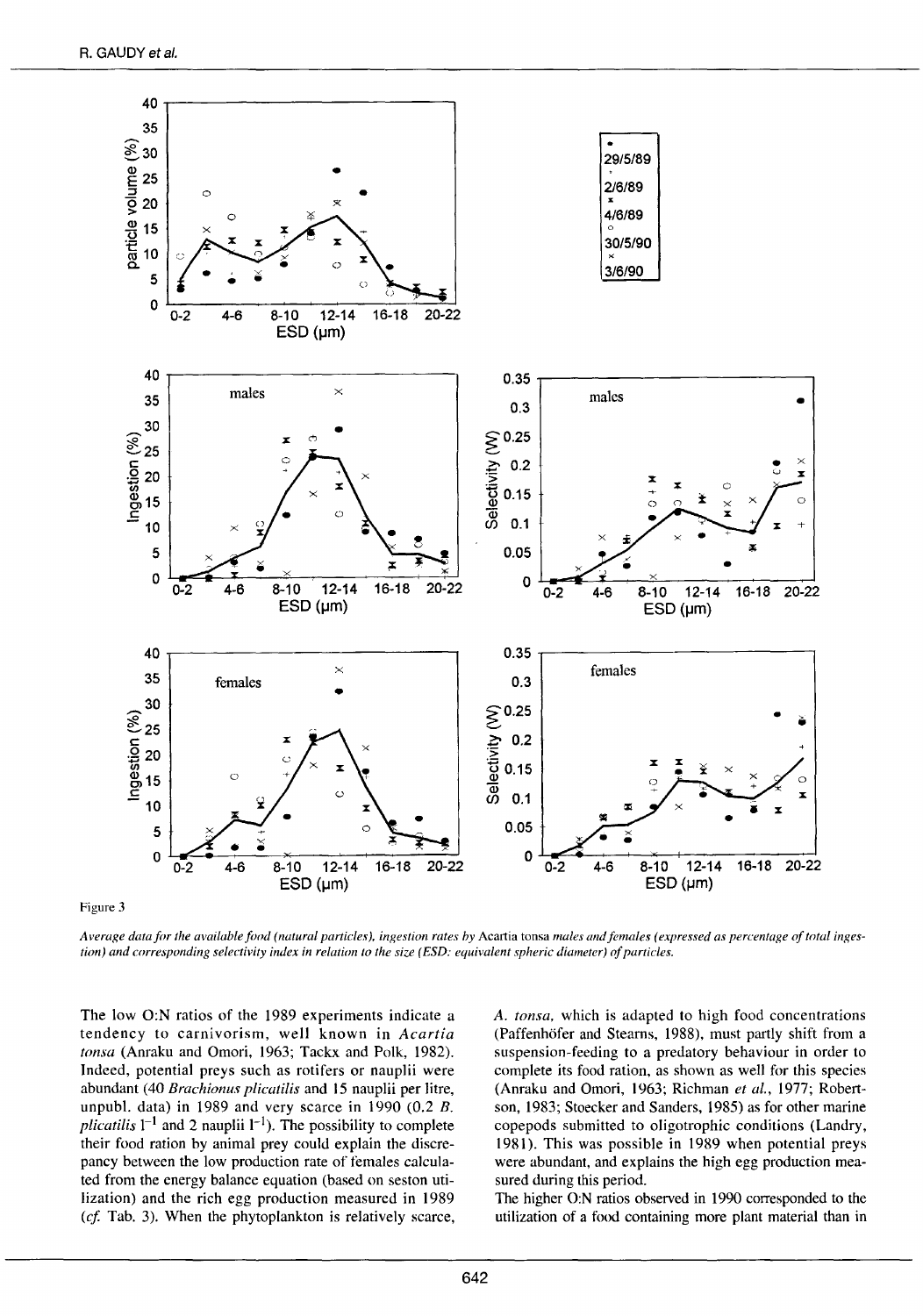

Figure 3

Average data for the available food (natural particles), ingestion rates by Acartia tonsa males and females (expressed as percentage of total inges*tion) and corresponding selectivity index in relation to the size (ESD: equivalent spheric diameter) of particles.* 

The low O:N ratios of the 1989 experiments indicate a tendency to carnivorism, weil known in *Acartia tonsa* (Anraku and Omori, 1963; Tackx and Polk, 1982). Indeed, potential preys such as rotifers or nauplii were abundant (40 *Brachionus plicatilis* and 15 nauplii per litre, unpubl. data) in 1989 and very scarce in 1990 (0.2 B. *plicatilis*  $1^{-1}$  and 2 nauplii  $1^{-1}$ ). The possibility to complete their food ration by animal prey could explain the discrepancy between the low production rate of females calculated from the energy balance equation (based on seston utilization) and the rich egg production measured in 1989 *(cf.* Tab. 3). When the phytoplankton is relatively scarce, *A. tonsa,* which is adapted to high food concentrations (Paffenhofer and Steams, 1988), must partly shift from a suspension-feeding to a predatory behaviour in order to complete its food ration, as shown as well for this species (Anraku and Omori, 1963; Richman *et al.,* 1977; Robertson, 1983; Stoecker and Sanders, 1985) as for other marine copepods submitted to oligotrophic conditions (Landry, 1981). This was possible in 1989 when potential preys were abundant, and explains the high egg production measured during this period.

The higher O:N ratios observed in 1990 corresponded to the utilization of a food containing more plant material than in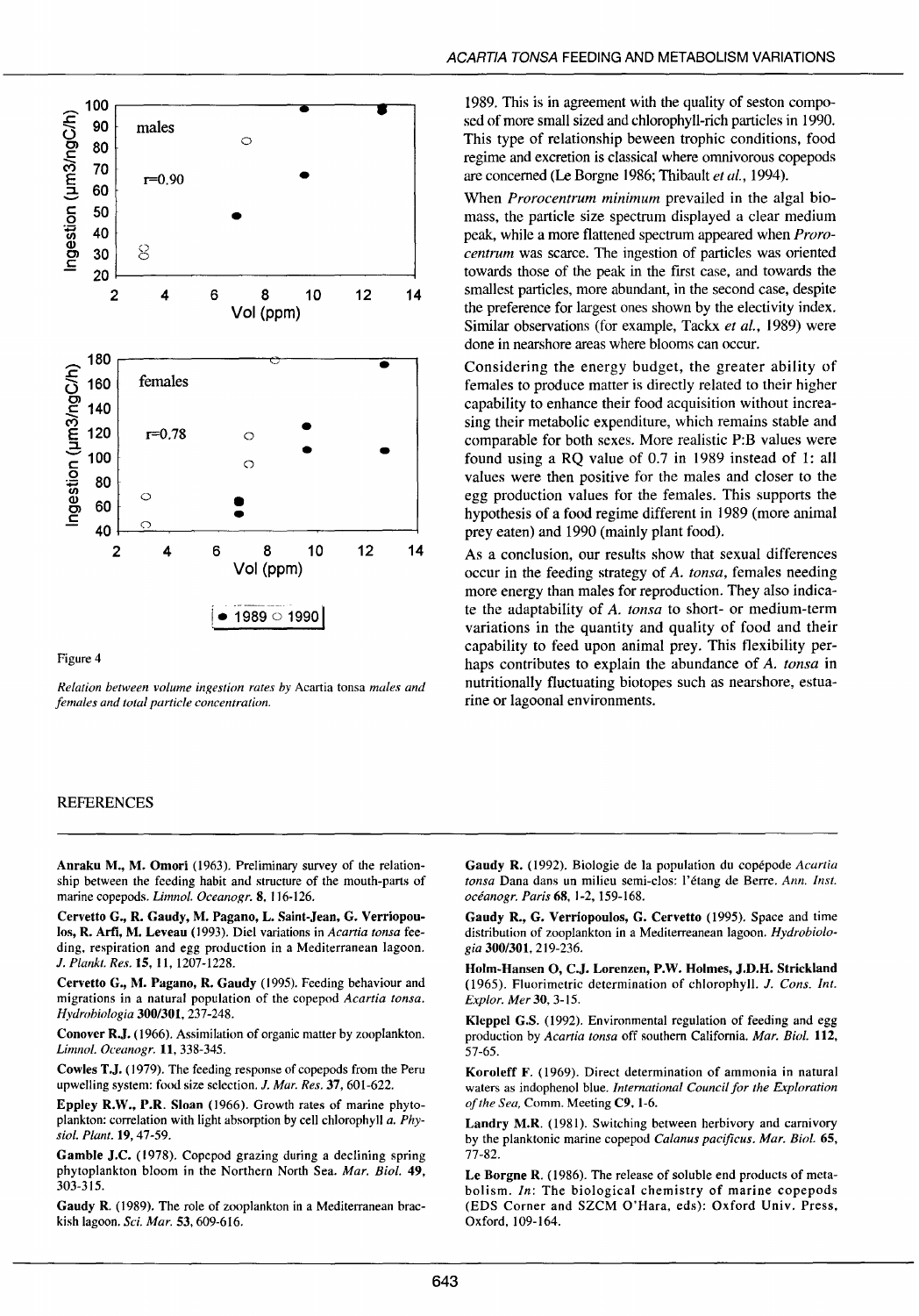

#### Figure 4

*Relation between volume ingestion rates by* Acartia tonsa *males and females and total particle concentration.* 

# REFERENCES

Anraku M., M. Omori (1963). Preliminary survey of the relationship between the feeding habit and structure of the mouth-parts of marine copepods. *Limnol. Oceanogr.* 8, 116-126.

Cervetto G., R. Gaudy, M. Pagano, L. Saint-Jean, G. Verriopoulos, R. Arfi, M. Leveau (1993). Die! variations in *Acartia tonsa* feeding, respiration and egg production in a Mediterranean Iagoon. J. *Plankt. Res.* 15, Il, 1207-1228.

Cervetto G., M. Pagano, R. Gaudy (1995). Feeding behaviour and migrations in a natural population of the copepod *Acartia tonsa. Hydrobiologia* 300/301, 237-248.

Conover R.J. (1966). Assimilation of organic matter by zooplankton. *Limnol. Oceanogr.* 11, 338-345.

Cowles T.J. (1979). The feeding response of copepods from the Peru upwelling system: food size selection. J. *Mar. Res.* 37, 601-622.

Eppley R.W., P.R. Sloan (1966). Growth rates of marine phytoplankton: correlation with Iight absorption by cell chlorophyll *a. Physiol. Plant.* 19,47-59.

Gamble J.C. (1978). Copepod grazing during a declining spring phytoplankton bloom in the Northern North Sea. *Mar. Biol.* 49, 303-315.

Gaudy R. (1989). The role of zooplankton in a Mediterranean brackish lagoon. *Sei. Mar.* 53, 609-616.

1989. This is in agreement with the quality of seston composed of more small sized and chlorophyll-rich particles in 1990. This type of relationship beween trophic conditions, food regime and excretion is classical where omnivorous copepods are concerned (Le Borgne 1986; Thibault et al., 1994).

When *Prorocentrum minimum* prevailed in the algal biomass, the particle size spectrum displayed a clear medium peak, while a more flattened spectrum appeared when *Prorocentrum* was scarce. The ingestion of particles was oriented towards those of the peak in the first case, and towards the smallest particles, more abundant, in the second case, despite the preference for largest ones shown by the electivity index. Similar observations (for example, Tackx *et al.*, 1989) were done in nearshore areas where blooms can occur.

Considering the energy budget, the greater ability of females to produce matter is directly related to their higher capability to enhance their food acquisition without increasing their metabolic expenditure, which remains stable and comparable for both sexes. More realistic P:B values were found using a RQ value of 0.7 in 1989 instead of 1: ali values were then positive for the males and closer to the egg production values for the females. This supports the hypothesis of a food regime different in 1989 (more animal prey eaten) and 1990 (mainly plant food).

As a conclusion, our results show that sexual differences occur in the feeding strategy of *A. tonsa,* females needing more energy than males for reproduction. They also indicate the adaptability of *A. tonsa* to short- or medium-term variations in the quantity and quality of food and their capability to feed upon animal prey. This flexibility perhaps contributes to explain the abundance of *A. tonsa* in nutritionally fluctuating biotopes such as nearshore, estuarine or lagoonal environments.

Gaudy R. (1992). Biologie de la population du copépode *Acartia tonsa* Dana dans un milieu semi-clos: l'étang de Berre. *Ann. lnst. océanogr. Paris* 68, 1-2, 159-168.

Gaudy R., G. Verriopoulos, G. Cervetto (1995). Space and time distribution of zooplankton in a Mediterreanean lagoon. *Hydrobiologia* 300/301,219-236.

Holm-Hansen O, C.J. Lorenzen, P.W. Holmes, J.D.H. Strickland (1965). Fluorimetric determination of chlorophyll. J. *Cons. !nt. Explor. Mer* 30,3-15.

Kleppel G.S. (1992). Environmental regulation of feeding and egg production by *Acartia tonsa* off southem California. *Mar. Biol.* 112, 57-65.

Koroleff F. ( 1969). Direct determination of ammonia in natural waters as indophenol blue. *International Council for the Exploration of the Sea,* Comm. Meeting C9, l-6.

Landry M.R. (1981). Switching between herbivory and carnivory by the planktonic marine copepod *Calanus pacificus. Mar. Biol.* 65, 77-82.

Le Borgne R. ( 1986). The release of soluble end products of metabolism. *In:* The biological chemistry of marine copepods (EDS Corner and SZCM O'Hara, eds): Oxford Univ. Press, Oxford, 109-164.